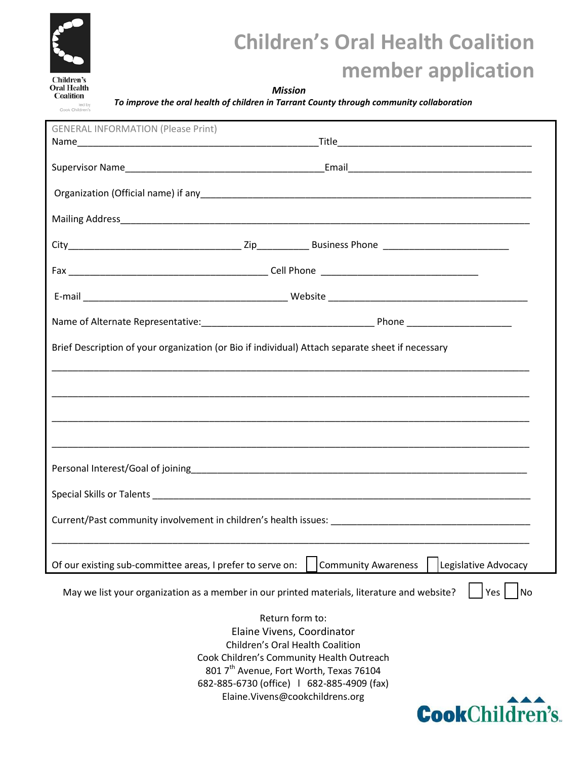

## **Children's Oral Health Coalition member application**

### *Mission*

*To improve the oral health of children in Tarrant County through community collaboration*

| <b>GENERAL INFORMATION (Please Print)</b>                                                                       |                                                    |
|-----------------------------------------------------------------------------------------------------------------|----------------------------------------------------|
|                                                                                                                 |                                                    |
|                                                                                                                 |                                                    |
|                                                                                                                 |                                                    |
|                                                                                                                 |                                                    |
|                                                                                                                 |                                                    |
|                                                                                                                 |                                                    |
|                                                                                                                 |                                                    |
|                                                                                                                 |                                                    |
|                                                                                                                 |                                                    |
| Brief Description of your organization (or Bio if individual) Attach separate sheet if necessary                |                                                    |
|                                                                                                                 |                                                    |
|                                                                                                                 |                                                    |
|                                                                                                                 |                                                    |
|                                                                                                                 |                                                    |
|                                                                                                                 |                                                    |
|                                                                                                                 |                                                    |
|                                                                                                                 |                                                    |
|                                                                                                                 |                                                    |
|                                                                                                                 |                                                    |
|                                                                                                                 |                                                    |
|                                                                                                                 |                                                    |
|                                                                                                                 |                                                    |
|                                                                                                                 |                                                    |
| Of our existing sub-committee areas, I prefer to serve on:                                                      | <b>Community Awareness</b><br>Legislative Advocacy |
| May we list your organization as a member in our printed materials, literature and website?<br><b>No</b><br>Yes |                                                    |
| Return form to:                                                                                                 |                                                    |
| Elaine Vivens, Coordinator                                                                                      |                                                    |
| Children's Oral Health Coalition                                                                                |                                                    |
| Cook Children's Community Health Outreach                                                                       |                                                    |
| 801 7 <sup>th</sup> Avenue, Fort Worth, Texas 76104                                                             |                                                    |
| 682-885-6730 (office)   682-885-4909 (fax)                                                                      |                                                    |
| Elaine.Vivens@cookchildrens.org                                                                                 |                                                    |